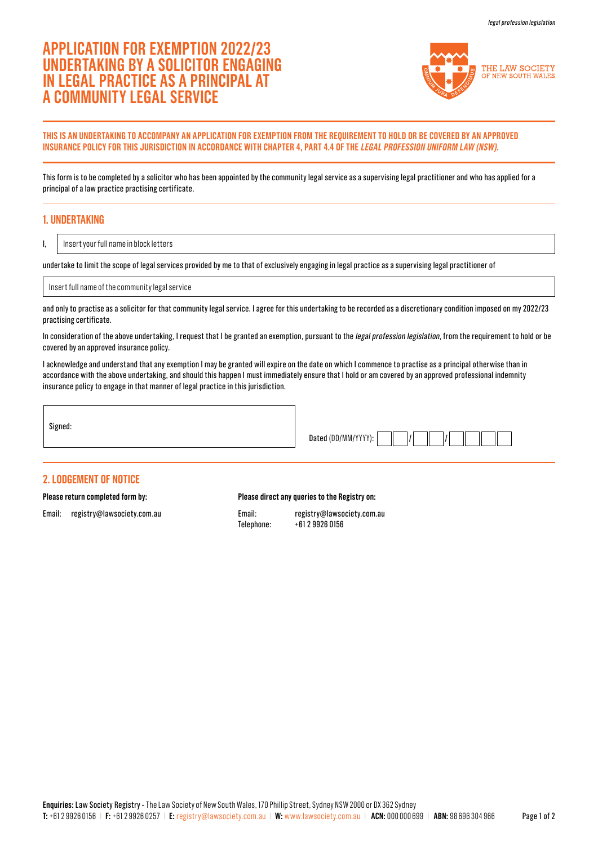# **APPLICATION FOR EXEMPTION 2022/23 UNDERTAKING BY A SOLICITOR ENGAGING IN LEGAL PRACTICE AS A PRINCIPAL AT A COMMUNITY LEGAL SERVICE**



### **THIS IS AN UNDERTAKING TO ACCOMPANY AN APPLICATION FOR EXEMPTION FROM THE REQUIREMENT TO HOLD OR BE COVERED BY AN APPROVED INSURANCE POLICY FOR THIS JURISDICTION IN ACCORDANCE WITH CHAPTER 4, PART 4.4 OF THE LEGAL PROFESSION UNIFORM LAW (NSW).**

This form is to be completed by a solicitor who has been appointed by the community legal service as a supervising legal practitioner and who has applied for a principal of a law practice practising certificate.

## **1. UNDERTAKING**

I,

Insert your full name in block letters

undertake to limit the scope of legal services provided by me to that of exclusively engaging in legal practice as a supervising legal practitioner of

Insert full name of the community legal service

and only to practise as a solicitor for that community legal service. I agree for this undertaking to be recorded as a discretionary condition imposed on my 2022/23 practising certificate.

In consideration of the above undertaking, I request that I be granted an exemption, pursuant to the legal profession legislation, from the requirement to hold or be covered by an approved insurance policy.

I acknowledge and understand that any exemption I may be granted will expire on the date on which I commence to practise as a principal otherwise than in accordance with the above undertaking, and should this happen I must immediately ensure that I hold or am covered by an approved professional indemnity insurance policy to engage in that manner of legal practice in this jurisdiction.

Dated (DD/MM/YYYY):

#### **2. LODGEMENT OF NOTICE**

**Please return completed form by:** 

Email: registry@lawsociety.com.au

#### **Please direct any queries to the Registry on:**

Email: registry@lawsociety.com.au Telephone: +61 2 9926 0156